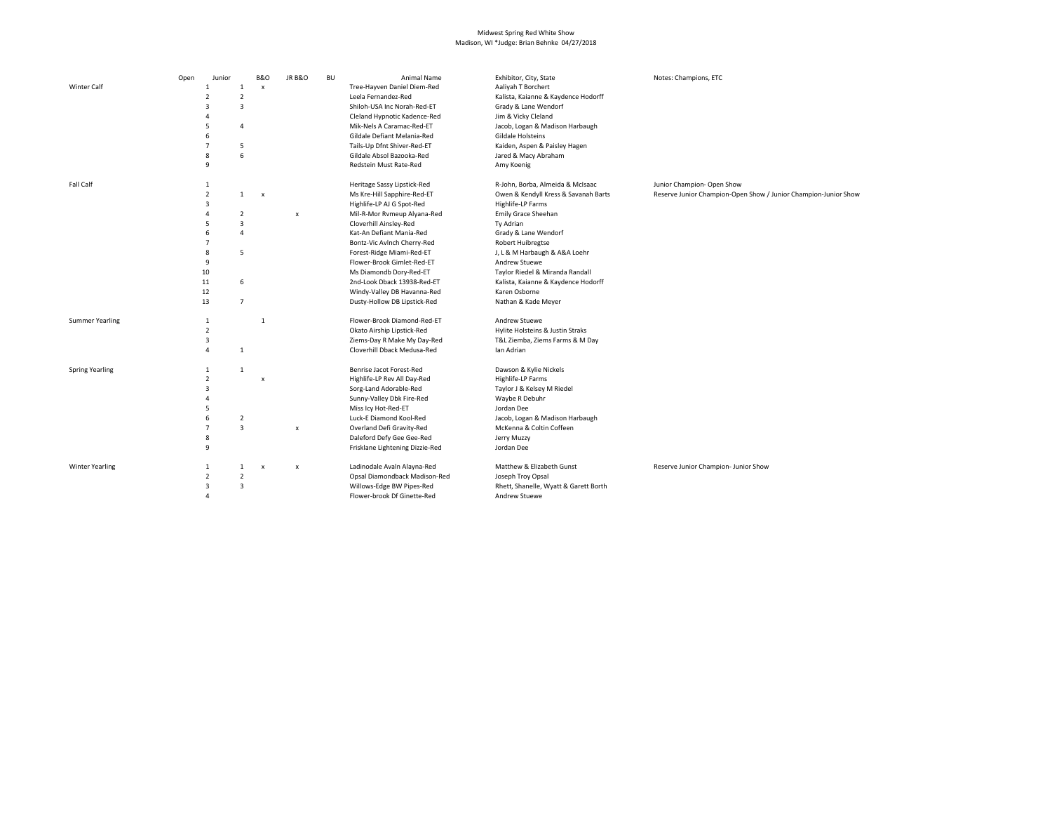## Midwest Spring Red White Show Madison, WI \*Judge: Brian Behnke 04/27/2018

|                        | Open | Junior         |                | <b>B&amp;O</b>            | <b>JR B&amp;O</b>  | <b>BU</b> | Animal Name                     | Exhibitor, City, State                | Notes: Champions, ETC                                           |
|------------------------|------|----------------|----------------|---------------------------|--------------------|-----------|---------------------------------|---------------------------------------|-----------------------------------------------------------------|
| <b>Winter Calf</b>     |      | $\mathbf{1}$   | $\mathbf{1}$   | x                         |                    |           | Tree-Hayven Daniel Diem-Red     | Aaliyah T Borchert                    |                                                                 |
|                        |      | $\overline{2}$ | $\overline{2}$ |                           |                    |           | Leela Fernandez-Red             | Kalista, Kaianne & Kaydence Hodorff   |                                                                 |
|                        |      | $\overline{3}$ | $\overline{3}$ |                           |                    |           | Shiloh-USA Inc Norah-Red-ET     | Grady & Lane Wendorf                  |                                                                 |
|                        |      | $\overline{4}$ |                |                           |                    |           | Cleland Hypnotic Kadence-Red    | Jim & Vicky Cleland                   |                                                                 |
|                        |      | 5              | $\overline{4}$ |                           |                    |           | Mik-Nels A Caramac-Red-ET       | Jacob, Logan & Madison Harbaugh       |                                                                 |
|                        |      | 6              |                |                           |                    |           | Gildale Defiant Melania-Red     | Gildale Holsteins                     |                                                                 |
|                        |      | $\overline{7}$ | 5              |                           |                    |           | Tails-Up Dfnt Shiver-Red-ET     | Kaiden, Aspen & Paisley Hagen         |                                                                 |
|                        |      | 8              | 6              |                           |                    |           | Gildale Absol Bazooka-Red       | Jared & Macy Abraham                  |                                                                 |
|                        |      | 9              |                |                           |                    |           | Redstein Must Rate-Red          | Amy Koenig                            |                                                                 |
| Fall Calf              |      | 1              |                |                           |                    |           | Heritage Sassy Lipstick-Red     | R-John, Borba, Almeida & McIsaac      | Junior Champion- Open Show                                      |
|                        |      | $\overline{2}$ | $\mathbf{1}$   | $\boldsymbol{\mathsf{x}}$ |                    |           | Ms Kre-Hill Sapphire-Red-ET     | Owen & Kendyll Kress & Savanah Barts  | Reserve Junior Champion-Open Show / Junior Champion-Junior Show |
|                        |      | 3              |                |                           |                    |           | Highlife-LP AJ G Spot-Red       | Highlife-LP Farms                     |                                                                 |
|                        |      | $\overline{a}$ | 2              |                           | $\pmb{\mathsf{x}}$ |           | Mil-R-Mor Rvmeup Alyana-Red     | Emily Grace Sheehan                   |                                                                 |
|                        |      | 5              | $\overline{3}$ |                           |                    |           | Cloverhill Ainsley-Red          | Ty Adrian                             |                                                                 |
|                        |      | 6              | $\overline{4}$ |                           |                    |           | Kat-An Defiant Mania-Red        | Grady & Lane Wendorf                  |                                                                 |
|                        |      | $\overline{7}$ |                |                           |                    |           | Bontz-Vic Avlnch Cherry-Red     | Robert Huibregtse                     |                                                                 |
|                        |      | $\mathbf{8}$   | 5              |                           |                    |           | Forest-Ridge Miami-Red-ET       | J, L & M Harbaugh & A&A Loehr         |                                                                 |
|                        |      | 9              |                |                           |                    |           | Flower-Brook Gimlet-Red-ET      | Andrew Stuewe                         |                                                                 |
|                        |      | 10             |                |                           |                    |           | Ms Diamondb Dory-Red-ET         | Taylor Riedel & Miranda Randall       |                                                                 |
|                        |      | 11             | 6              |                           |                    |           | 2nd-Look Dback 13938-Red-ET     | Kalista, Kaianne & Kaydence Hodorff   |                                                                 |
|                        |      | 12             |                |                           |                    |           | Windy-Valley DB Havanna-Red     | Karen Osborne                         |                                                                 |
|                        |      | 13             | $\overline{7}$ |                           |                    |           | Dusty-Hollow DB Lipstick-Red    | Nathan & Kade Meyer                   |                                                                 |
| <b>Summer Yearling</b> |      | $\mathbf{1}$   |                | $\overline{1}$            |                    |           | Flower-Brook Diamond-Red-ET     | Andrew Stuewe                         |                                                                 |
|                        |      | $\overline{2}$ |                |                           |                    |           | Okato Airship Lipstick-Red      | Hylite Holsteins & Justin Straks      |                                                                 |
|                        |      | 3              |                |                           |                    |           | Ziems-Day R Make My Day-Red     | T&L Ziemba, Ziems Farms & M Day       |                                                                 |
|                        |      | 4              | $\mathbf{1}$   |                           |                    |           | Cloverhill Dback Medusa-Red     | Ian Adrian                            |                                                                 |
| <b>Spring Yearling</b> |      | $\mathbf 1$    | $\mathbf{1}$   |                           |                    |           | Benrise Jacot Forest-Red        | Dawson & Kylie Nickels                |                                                                 |
|                        |      | $\overline{2}$ |                | X                         |                    |           | Highlife-LP Rev All Day-Red     | Highlife-LP Farms                     |                                                                 |
|                        |      | 3              |                |                           |                    |           | Sorg-Land Adorable-Red          | Taylor J & Kelsey M Riedel            |                                                                 |
|                        |      | $\overline{a}$ |                |                           |                    |           | Sunny-Valley Dbk Fire-Red       | Waybe R Debuhr                        |                                                                 |
|                        |      | 5              |                |                           |                    |           | Miss Icy Hot-Red-ET             | Jordan Dee                            |                                                                 |
|                        |      | 6              | $\overline{2}$ |                           |                    |           | Luck-E Diamond Kool-Red         | Jacob, Logan & Madison Harbaugh       |                                                                 |
|                        |      | $\overline{7}$ | 3              |                           | x                  |           | Overland Defi Gravity-Red       | McKenna & Coltin Coffeen              |                                                                 |
|                        |      | 8              |                |                           |                    |           | Daleford Defy Gee Gee-Red       | Jerry Muzzy                           |                                                                 |
|                        |      | 9              |                |                           |                    |           | Frisklane Lightening Dizzie-Red | Jordan Dee                            |                                                                 |
| <b>Winter Yearling</b> |      | 1              | 1              | X                         | x                  |           | Ladinodale Avaln Alayna-Red     | Matthew & Elizabeth Gunst             | Reserve Junior Champion- Junior Show                            |
|                        |      | $\overline{2}$ | $\overline{2}$ |                           |                    |           | Opsal Diamondback Madison-Red   | Joseph Troy Opsal                     |                                                                 |
|                        |      | $\overline{3}$ | 3              |                           |                    |           | Willows-Edge BW Pipes-Red       | Rhett, Shanelle, Wyatt & Garett Borth |                                                                 |
|                        |      | 4              |                |                           |                    |           | Flower-brook Df Ginette-Red     | Andrew Stuewe                         |                                                                 |